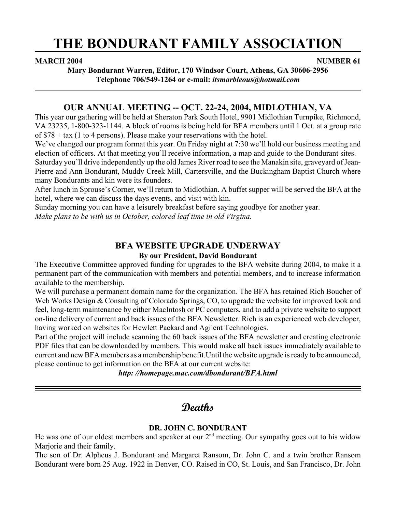# **THE BONDURANT FAMILY ASSOCIATION**

#### **MARCH 2004** NUMBER 61

**Mary Bondurant Warren, Editor, 170 Windsor Court, Athens, GA 30606-2956 Telephone 706/549-1264 or e-mail:** *itsmarbleous@hotmail.com*

### **OUR ANNUAL MEETING -- OCT. 22-24, 2004, MIDLOTHIAN, VA**

This year our gathering will be held at Sheraton Park South Hotel, 9901 Midlothian Turnpike, Richmond, VA 23235, 1-800-323-1144. A block of rooms is being held for BFA members until 1 Oct. at a group rate of \$78 + tax (1 to 4 persons). Please make your reservations with the hotel.

We've changed our program format this year. On Friday night at 7:30 we'll hold our business meeting and election of officers. At that meeting you'll receive information, a map and guide to the Bondurant sites. Saturday you'll drive independently up the old James River road to see the Manakin site, graveyard of Jean-Pierre and Ann Bondurant, Muddy Creek Mill, Cartersville, and the Buckingham Baptist Church where

many Bondurants and kin were its founders.

After lunch in Sprouse's Corner, we'll return to Midlothian. A buffet supper will be served the BFA at the hotel, where we can discuss the days events, and visit with kin.

Sunday morning you can have a leisurely breakfast before saying goodbye for another year.

*Make plans to be with us in October, colored leaf time in old Virgina.*

## **BFA WEBSITE UPGRADE UNDERWAY**

#### **By our President, David Bondurant**

The Executive Committee approved funding for upgrades to the BFA website during 2004, to make it a permanent part of the communication with members and potential members, and to increase information available to the membership.

We will purchase a permanent domain name for the organization. The BFA has retained Rich Boucher of Web Works Design & Consulting of Colorado Springs, CO, to upgrade the website for improved look and feel, long-term maintenance by either MacIntosh or PC computers, and to add a private website to support on-line delivery of current and back issues of the BFA Newsletter. Rich is an experienced web developer, having worked on websites for Hewlett Packard and Agilent Technologies.

Part of the project will include scanning the 60 back issues of the BFA newsletter and creating electronic PDF files that can be downloaded by members. This would make all back issues immediately available to current and new BFA members as a membership benefit.Until the website upgrade is ready to be announced, please continue to get information on the BFA at our current website:

*http: //homepage.mac.com/dbondurant/BFA.html*

# **Deaths**

#### **DR. JOHN C. BONDURANT**

He was one of our oldest members and speaker at our 2<sup>nd</sup> meeting. Our sympathy goes out to his widow Marjorie and their family.

The son of Dr. Alpheus J. Bondurant and Margaret Ransom, Dr. John C. and a twin brother Ransom Bondurant were born 25 Aug. 1922 in Denver, CO. Raised in CO, St. Louis, and San Francisco, Dr. John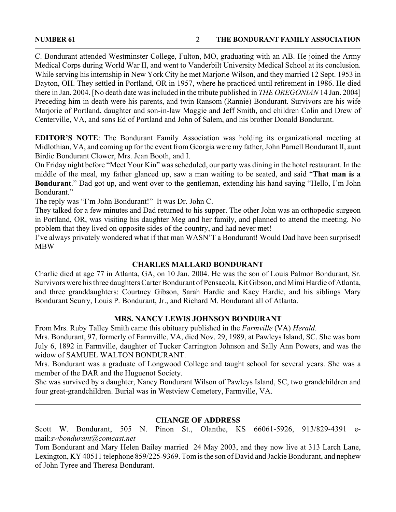C. Bondurant attended Westminster College, Fulton, MO, graduating with an AB. He joined the Army Medical Corps during World War II, and went to Vanderbilt University Medical School at its conclusion. While serving his internship in New York City he met Marjorie Wilson, and they married 12 Sept. 1953 in Dayton, OH. They settled in Portland, OR in 1957, where he practiced until retirement in 1986. He died there in Jan. 2004. [No death date was included in the tribute published in *THE OREGONIAN* 14 Jan. 2004] Preceding him in death were his parents, and twin Ransom (Rannie) Bondurant. Survivors are his wife Marjorie of Portland, daughter and son-in-law Maggie and Jeff Smith, and children Colin and Drew of Centerville, VA, and sons Ed of Portland and John of Salem, and his brother Donald Bondurant.

**EDITOR'S NOTE**: The Bondurant Family Association was holding its organizational meeting at Midlothian, VA, and coming up for the event from Georgia were my father, John Parnell Bondurant II, aunt Birdie Bondurant Clower, Mrs. Jean Booth, and I.

On Friday night before "Meet Your Kin" was scheduled, our party was dining in the hotel restaurant. In the middle of the meal, my father glanced up, saw a man waiting to be seated, and said "**That man is a Bondurant**." Dad got up, and went over to the gentleman, extending his hand saying "Hello, I'm John Bondurant."

The reply was "I'm John Bondurant!" It was Dr. John C.

They talked for a few minutes and Dad returned to his supper. The other John was an orthopedic surgeon in Portland, OR, was visiting his daughter Meg and her family, and planned to attend the meeting. No problem that they lived on opposite sides of the country, and had never met!

I've always privately wondered what if that man WASN'T a Bondurant! Would Dad have been surprised! MBW

#### **CHARLES MALLARD BONDURANT**

Charlie died at age 77 in Atlanta, GA, on 10 Jan. 2004. He was the son of Louis Palmor Bondurant, Sr. Survivors were his three daughters Carter Bondurant of Pensacola, Kit Gibson, and Mimi Hardie of Atlanta, and three granddaughters: Courtney Gibson, Sarah Hardie and Kacy Hardie, and his siblings Mary Bondurant Scurry, Louis P. Bondurant, Jr., and Richard M. Bondurant all of Atlanta.

#### **MRS. NANCY LEWIS JOHNSON BONDURANT**

From Mrs. Ruby Talley Smith came this obituary published in the *Farmville* (VA) *Herald.*

Mrs. Bondurant, 97, formerly of Farmville, VA, died Nov. 29, 1989, at Pawleys Island, SC. She was born July 6, 1892 in Farmville, daughter of Tucker Carrington Johnson and Sally Ann Powers, and was the widow of SAMUEL WALTON BONDURANT.

Mrs. Bondurant was a graduate of Longwood College and taught school for several years. She was a member of the DAR and the Huguenot Society.

She was survived by a daughter, Nancy Bondurant Wilson of Pawleys Island, SC, two grandchildren and four great-grandchildren. Burial was in Westview Cemetery, Farmville, VA.

#### **CHANGE OF ADDRESS**

Scott W. Bondurant, 505 N. Pinon St., Olanthe, KS 66061-5926, 913/829-4391 email:*swbondurant@comcast.net*

Tom Bondurant and Mary Helen Bailey married 24 May 2003, and they now live at 313 Larch Lane, Lexington, KY 40511 telephone 859/225-9369. Tom is the son of David and Jackie Bondurant, and nephew of John Tyree and Theresa Bondurant.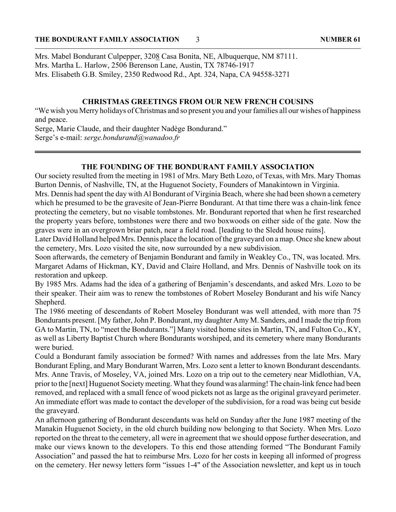Mrs. Mabel Bondurant Culpepper, 3208 Casa Bonita, NE, Albuquerque, NM 87111. Mrs. Martha L. Harlow, 2506 Berenson Lane, Austin, TX 78746-1917 Mrs. Elisabeth G.B. Smiley, 2350 Redwood Rd., Apt. 324, Napa, CA 94558-3271

#### **CHRISTMAS GREETINGS FROM OUR NEW FRENCH COUSINS**

"We wish you Merry holidays of Christmas and so present you and your families all our wishes of happiness and peace.

Serge, Marie Claude, and their daughter Nadège Bondurand." Serge's e-mail: *serge.bondurand@wanadoo.fr*

#### **THE FOUNDING OF THE BONDURANT FAMILY ASSOCIATION**

Our society resulted from the meeting in 1981 of Mrs. Mary Beth Lozo, of Texas, with Mrs. Mary Thomas Burton Dennis, of Nashville, TN, at the Huguenot Society, Founders of Manakintown in Virginia.

Mrs. Dennis had spent the day with Al Bondurant of Virginia Beach, where she had been shown a cemetery which he presumed to be the gravesite of Jean-Pierre Bondurant. At that time there was a chain-link fence protecting the cemetery, but no visable tombstones. Mr. Bondurant reported that when he first researched the property years before, tombstones were there and two boxwoods on either side of the gate. Now the graves were in an overgrown briar patch, near a field road. [leading to the Sledd house ruins].

Later David Holland helped Mrs. Dennis place the location of the graveyard on a map. Once she knew about the cemetery, Mrs. Lozo visited the site, now surrounded by a new subdivision.

Soon afterwards, the cemetery of Benjamin Bondurant and family in Weakley Co., TN, was located. Mrs. Margaret Adams of Hickman, KY, David and Claire Holland, and Mrs. Dennis of Nashville took on its restoration and upkeep.

By 1985 Mrs. Adams had the idea of a gathering of Benjamin's descendants, and asked Mrs. Lozo to be their speaker. Their aim was to renew the tombstones of Robert Moseley Bondurant and his wife Nancy Shepherd.

The 1986 meeting of descendants of Robert Moseley Bondurant was well attended, with more than 75 Bondurants present. [My father, John P. Bondurant, my daughter Amy M. Sanders, and I made the trip from GA to Martin, TN, to "meet the Bondurants."] Many visited home sites in Martin, TN, and Fulton Co., KY, as well as Liberty Baptist Church where Bondurants worshiped, and its cemetery where many Bondurants were buried.

Could a Bondurant family association be formed? With names and addresses from the late Mrs. Mary Bondurant Epling, and Mary Bondurant Warren, Mrs. Lozo sent a letter to known Bondurant descendants. Mrs. Anne Travis, of Moseley, VA, joined Mrs. Lozo on a trip out to the cemetery near Midlothian, VA, prior to the [next] Huguenot Society meeting. What they found was alarming! The chain-link fence had been removed, and replaced with a small fence of wood pickets not as large as the original graveyard perimeter. An immediate effort was made to contact the developer of the subdivision, for a road was being cut beside the graveyard.

An afternoon gathering of Bondurant descendants was held on Sunday after the June 1987 meeting of the Manakin Huguenot Society, in the old church building now belonging to that Society. When Mrs. Lozo reported on the threat to the cemetery, all were in agreement that we should oppose further desecration, and make our views known to the developers. To this end those attending formed "The Bondurant Family Association" and passed the hat to reimburse Mrs. Lozo for her costs in keeping all informed of progress on the cemetery. Her newsy letters form "issues 1-4" of the Association newsletter, and kept us in touch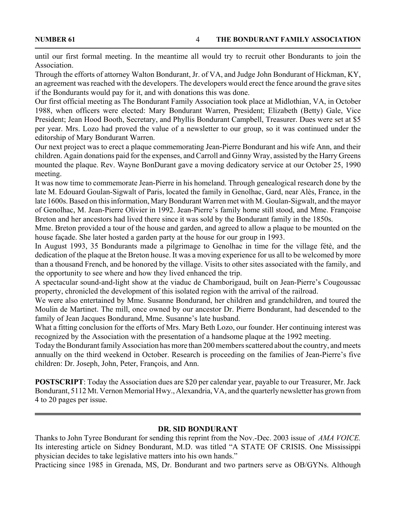until our first formal meeting. In the meantime all would try to recruit other Bondurants to join the Association.

Through the efforts of attorney Walton Bondurant, Jr. of VA, and Judge John Bondurant of Hickman, KY, an agreement was reached with the developers. The developers would erect the fence around the grave sites if the Bondurants would pay for it, and with donations this was done.

Our first official meeting as The Bondurant Family Association took place at Midlothian, VA, in October 1988, when officers were elected: Mary Bondurant Warren, President; Elizabeth (Betty) Gale, Vice President; Jean Hood Booth, Secretary, and Phyllis Bondurant Campbell, Treasurer. Dues were set at \$5 per year. Mrs. Lozo had proved the value of a newsletter to our group, so it was continued under the editorship of Mary Bondurant Warren.

Our next project was to erect a plaque commemorating Jean-Pierre Bondurant and his wife Ann, and their children. Again donations paid for the expenses, and Carroll and Ginny Wray, assisted by the Harry Greens mounted the plaque. Rev. Wayne BonDurant gave a moving dedicatory service at our October 25, 1990 meeting.

It was now time to commemorate Jean-Pierre in his homeland. Through genealogical research done by the late M. Edouard Goulan-Sigwalt of Paris, located the family in Genolhac, Gard, near Alès, France, in the late 1600s. Based on this information, Mary Bondurant Warren met with M. Goulan-Sigwalt, and the mayor of Genolhac, M. Jean-Pierre Olivier in 1992. Jean-Pierre's family home still stood, and Mme. Françoise Breton and her ancestors had lived there since it was sold by the Bondurant family in the 1850s.

Mme. Breton provided a tour of the house and garden, and agreed to allow a plaque to be mounted on the house façade. She later hosted a garden party at the house for our group in 1993.

In August 1993, 35 Bondurants made a pilgrimage to Genolhac in time for the village fétè, and the dedication of the plaque at the Breton house. It was a moving experience for us all to be welcomed by more than a thousand French, and be honored by the village. Visits to other sites associated with the family, and the opportunity to see where and how they lived enhanced the trip.

A spectacular sound-and-light show at the viaduc de Chamborigaud, built on Jean-Pierre's Cougoussac property, chronicled the development of this isolated region with the arrival of the railroad.

We were also entertained by Mme. Susanne Bondurand, her children and grandchildren, and toured the Moulin de Martinet. The mill, once owned by our ancestor Dr. Pierre Bondurant, had descended to the family of Jean Jacques Bondurand, Mme. Susanne's late husband.

What a fitting conclusion for the efforts of Mrs. Mary Beth Lozo, our founder. Her continuing interest was recognized by the Association with the presentation of a handsome plaque at the 1992 meeting.

Today the Bondurant family Association has more than 200 members scattered about the country, and meets annually on the third weekend in October. Research is proceeding on the families of Jean-Pierre's five children: Dr. Joseph, John, Peter, François, and Ann.

**POSTSCRIPT**: Today the Association dues are \$20 per calendar year, payable to our Treasurer, Mr. Jack Bondurant, 5112 Mt. Vernon Memorial Hwy., Alexandria, VA, and the quarterly newsletter has grown from 4 to 20 pages per issue.

#### **DR. SID BONDURANT**

Thanks to John Tyree Bondurant for sending this reprint from the Nov.-Dec. 2003 issue of *AMA VOICE.* Its interesting article on Sidney Bondurant, M.D. was titled "A STATE OF CRISIS. One Mississippi physician decides to take legislative matters into his own hands."

Practicing since 1985 in Grenada, MS, Dr. Bondurant and two partners serve as OB/GYNs. Although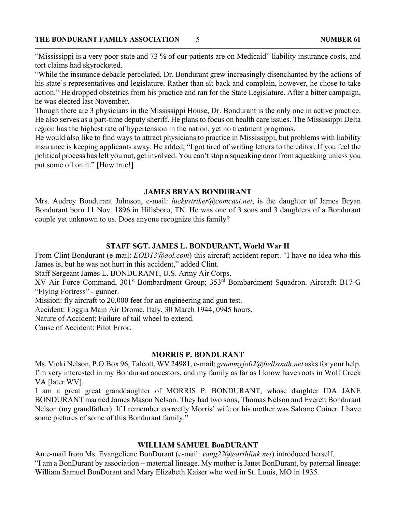"Mississippi is a very poor state and 73 % of our patients are on Medicaid" liability insurance costs, and tort claims had skyrocketed.

"While the insurance debacle percolated, Dr. Bondurant grew increasingly disenchanted by the actions of his state's representatives and legislature. Rather than sit back and complain, however, he chose to take action." He dropped obstetrics from his practice and ran for the State Legislature. After a bitter campaign, he was elected last November.

Though there are 3 physicians in the Mississippi House, Dr. Bondurant is the only one in active practice. He also serves as a part-time deputy sheriff. He plans to focus on health care issues. The Mississippi Delta region has the highest rate of hypertension in the nation, yet no treatment programs.

He would also like to find ways to attract physicians to practice in Mississippi, but problems with liability insurance is keeping applicants away. He added, "I got tired of writing letters to the editor. If you feel the political process has left you out, get involved. You can't stop a squeaking door from squeaking unless you put some oil on it." [How true!]

#### **JAMES BRYAN BONDURANT**

Mrs. Audrey Bondurant Johnson, e-mail: *luckystriker@comcast.net*, is the daughter of James Bryan Bondurant born 11 Nov. 1896 in Hillsboro, TN. He was one of 3 sons and 3 daughters of a Bondurant couple yet unknown to us. Does anyone recognize this family?

#### **STAFF SGT. JAMES L. BONDURANT, World War II**

From Clint Bondurant (e-mail: *EOD13@aol.com*) this aircraft accident report. "I have no idea who this James is, but he was not hurt in this accident," added Clint.

Staff Sergeant James L. BONDURANT, U.S. Army Air Corps.

XV Air Force Command, 301st Bombardment Group; 353rd Bombardment Squadron. Aircraft: B17-G "Flying Fortress" - gunner.

Mission: fly aircraft to 20,000 feet for an engineering and gun test.

Accident: Foggia Main Air Drome, Italy, 30 March 1944, 0945 hours.

Nature of Accident: Failure of tail wheel to extend.

Cause of Accident: Pilot Error.

#### **MORRIS P. BONDURANT**

Ms. Vicki Nelson, P.O.Box 96, Talcott, WV 24981, e-mail: *grammyjo02@bellsouth.net* asks for your help. I'm very interested in my Bondurant ancestors, and my family as far as I know have roots in Wolf Creek VA [later WV].

I am a great great granddaughter of MORRIS P. BONDURANT, whose daughter IDA JANE BONDURANT married James Mason Nelson. They had two sons, Thomas Nelson and Everett Bondurant Nelson (my grandfather). If I remember correctly Morris' wife or his mother was Salome Coiner. I have some pictures of some of this Bondurant family."

#### **WILLIAM SAMUEL BonDURANT**

An e-mail from Ms. Evangeliene BonDurant (e-mail: *vang22@earthlink.net*) introduced herself. "I am a BonDurant by association – maternal lineage. My mother is Janet BonDurant, by paternal lineage: William Samuel BonDurant and Mary Elizabeth Kaiser who wed in St. Louis, MO in 1935.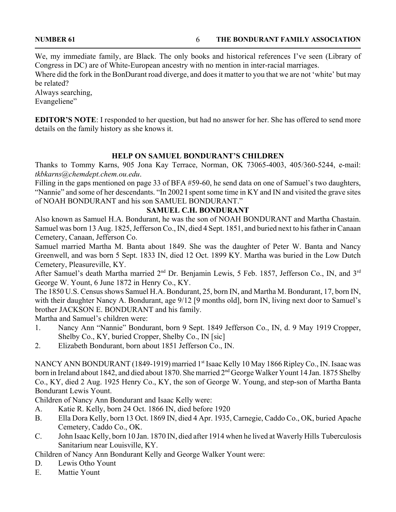We, my immediate family, are Black. The only books and historical references I've seen (Library of Congress in DC) are of White-European ancestry with no mention in inter-racial marriages.

Where did the fork in the BonDurant road diverge, and does it matter to you that we are not 'white' but may be related?

Always searching, Evangeliene"

**EDITOR'S NOTE**: I responded to her question, but had no answer for her. She has offered to send more details on the family history as she knows it.

#### **HELP ON SAMUEL BONDURANT'S CHILDREN**

Thanks to Tommy Karns, 905 Jona Kay Terrace, Norman, OK 73065-4003, 405/360-5244, e-mail: *tkbkarns@chemdept.chem.ou.edu*.

Filling in the gaps mentioned on page 33 of BFA #59-60, he send data on one of Samuel's two daughters, "Nannie" and some of her descendants. "In 2002 I spent some time in KY and IN and visited the grave sites of NOAH BONDURANT and his son SAMUEL BONDURANT."

#### **SAMUEL C.H. BONDURANT**

Also known as Samuel H.A. Bondurant, he was the son of NOAH BONDURANT and Martha Chastain. Samuel was born 13 Aug. 1825, Jefferson Co., IN, died 4 Sept. 1851, and buried next to his father in Canaan Cemetery, Canaan, Jefferson Co.

Samuel married Martha M. Banta about 1849. She was the daughter of Peter W. Banta and Nancy Greenwell, and was born 5 Sept. 1833 IN, died 12 Oct. 1899 KY. Martha was buried in the Low Dutch Cemetery, Pleasureville, KY.

After Samuel's death Martha married 2<sup>nd</sup> Dr. Benjamin Lewis, 5 Feb. 1857, Jefferson Co., IN, and 3<sup>rd</sup> George W. Yount, 6 June 1872 in Henry Co., KY.

The 1850 U.S. Census shows Samuel H.A. Bondurant, 25, born IN, and Martha M. Bondurant, 17, born IN, with their daughter Nancy A. Bondurant, age  $9/12$  [9 months old], born IN, living next door to Samuel's brother JACKSON E. BONDURANT and his family.

Martha and Samuel's children were:

- 1. Nancy Ann "Nannie" Bondurant, born 9 Sept. 1849 Jefferson Co., IN, d. 9 May 1919 Cropper, Shelby Co., KY, buried Cropper, Shelby Co., IN [sic]
- 2. Elizabeth Bondurant, born about 1851 Jefferson Co., IN.

NANCY ANN BONDURANT (1849-1919) married 1<sup>st</sup> Isaac Kelly 10 May 1866 Ripley Co., IN. Isaac was born in Ireland about 1842, and died about 1870. She married 2<sup>nd</sup> George Walker Yount 14 Jan. 1875 Shelby Co., KY, died 2 Aug. 1925 Henry Co., KY, the son of George W. Young, and step-son of Martha Banta Bondurant Lewis Yount.

Children of Nancy Ann Bondurant and Isaac Kelly were:

- A. Katie R. Kelly, born 24 Oct. 1866 IN, died before 1920
- B. Ella Dora Kelly, born 13 Oct. 1869 IN, died 4 Apr. 1935, Carnegie, Caddo Co., OK, buried Apache Cemetery, Caddo Co., OK.
- C. John Isaac Kelly, born 10 Jan. 1870 IN, died after 1914 when he lived at Waverly Hills Tuberculosis Sanitarium near Louisville, KY.

Children of Nancy Ann Bondurant Kelly and George Walker Yount were:

D. Lewis Otho Yount

E. Mattie Yount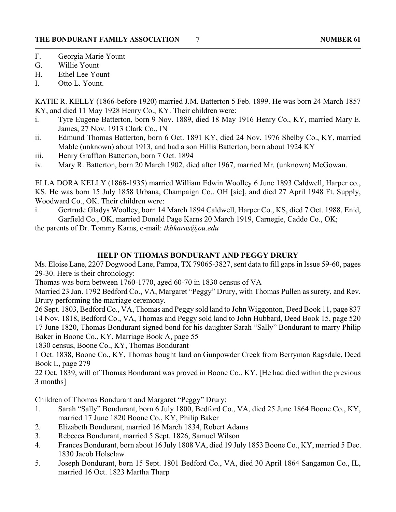- F. Georgia Marie Yount
- G. Willie Yount
- H. Ethel Lee Yount
- I. Otto L. Yount.

KATIE R. KELLY (1866-before 1920) married J.M. Batterton 5 Feb. 1899. He was born 24 March 1857 KY, and died 11 May 1928 Henry Co., KY. Their children were:

- i. Tyre Eugene Batterton, born 9 Nov. 1889, died 18 May 1916 Henry Co., KY, married Mary E. James, 27 Nov. 1913 Clark Co., IN
- ii. Edmund Thomas Batterton, born 6 Oct. 1891 KY, died 24 Nov. 1976 Shelby Co., KY, married Mable (unknown) about 1913, and had a son Hillis Batterton, born about 1924 KY
- iii. Henry Graffton Batterton, born 7 Oct. 1894
- iv. Mary R. Batterton, born 20 March 1902, died after 1967, married Mr. (unknown) McGowan.

ELLA DORA KELLY (1868-1935) married William Edwin Woolley 6 June 1893 Caldwell, Harper co., KS. He was born 15 July 1858 Urbana, Champaign Co., OH [sic], and died 27 April 1948 Ft. Supply, Woodward Co., OK. Their children were:

i. Gertrude Gladys Woolley, born 14 March 1894 Caldwell, Harper Co., KS, died 7 Oct. 1988, Enid, Garfield Co., OK, married Donald Page Karns 20 March 1919, Carnegie, Caddo Co., OK;

the parents of Dr. Tommy Karns, e-mail: *tkbkarns@ou.edu*

#### **HELP ON THOMAS BONDURANT AND PEGGY DRURY**

Ms. Eloise Lane, 2207 Dogwood Lane, Pampa, TX 79065-3827, sent data to fill gaps in Issue 59-60, pages 29-30. Here is their chronology:

Thomas was born between 1760-1770, aged 60-70 in 1830 census of VA

Married 23 Jan. 1792 Bedford Co., VA, Margaret "Peggy" Drury, with Thomas Pullen as surety, and Rev. Drury performing the marriage ceremony.

26 Sept. 1803, Bedford Co., VA, Thomas and Peggy sold land to John Wiggonton, Deed Book 11, page 837 14 Nov. 1818, Bedford Co., VA, Thomas and Peggy sold land to John Hubbard, Deed Book 15, page 520 17 June 1820, Thomas Bondurant signed bond for his daughter Sarah "Sally" Bondurant to marry Philip Baker in Boone Co., KY, Marriage Book A, page 55

1830 census, Boone Co., KY, Thomas Bondurant

1 Oct. 1838, Boone Co., KY, Thomas bought land on Gunpowder Creek from Berryman Ragsdale, Deed Book L, page 279

22 Oct. 1839, will of Thomas Bondurant was proved in Boone Co., KY. [He had died within the previous 3 months]

Children of Thomas Bondurant and Margaret "Peggy" Drury:

- 1. Sarah "Sally" Bondurant, born 6 July 1800, Bedford Co., VA, died 25 June 1864 Boone Co., KY, married 17 June 1820 Boone Co., KY, Philip Baker
- 2. Elizabeth Bondurant, married 16 March 1834, Robert Adams
- 3. Rebecca Bondurant, married 5 Sept. 1826, Samuel Wilson
- 4. Frances Bondurant, born about 16 July 1808 VA, died 19 July 1853 Boone Co., KY, married 5 Dec. 1830 Jacob Holsclaw
- 5. Joseph Bondurant, born 15 Sept. 1801 Bedford Co., VA, died 30 April 1864 Sangamon Co., IL, married 16 Oct. 1823 Martha Tharp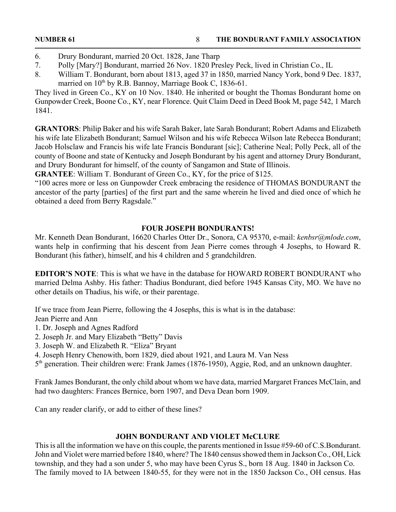- 7. Polly [Mary?] Bondurant, married 26 Nov. 1820 Presley Peck, lived in Christian Co., IL
- 8. William T. Bondurant, born about 1813, aged 37 in 1850, married Nancy York, bond 9 Dec. 1837, married on  $10^{th}$  by R.B. Bannoy, Marriage Book C, 1836-61.

They lived in Green Co., KY on 10 Nov. 1840. He inherited or bought the Thomas Bondurant home on Gunpowder Creek, Boone Co., KY, near Florence. Quit Claim Deed in Deed Book M, page 542, 1 March 1841.

**GRANTORS**: Philip Baker and his wife Sarah Baker, late Sarah Bondurant; Robert Adams and Elizabeth his wife late Elizabeth Bondurant; Samuel Wilson and his wife Rebecca Wilson late Rebecca Bondurant; Jacob Holsclaw and Francis his wife late Francis Bondurant [sic]; Catherine Neal; Polly Peck, all of the county of Boone and state of Kentucky and Joseph Bondurant by his agent and attorney Drury Bondurant, and Drury Bondurant for himself, of the county of Sangamon and State of Illinois.

**GRANTEE**: William T. Bondurant of Green Co., KY, for the price of \$125.

"100 acres more or less on Gunpowder Creek embracing the residence of THOMAS BONDURANT the ancestor of the party [parties] of the first part and the same wherein he lived and died once of which he obtained a deed from Berry Ragsdale."

### **FOUR JOSEPH BONDURANTS!**

Mr. Kenneth Dean Bondurant, 16620 Charles Otter Dr., Sonora, CA 95370, e-mail: *kenbsr@mlode.com*, wants help in confirming that his descent from Jean Pierre comes through 4 Josephs, to Howard R. Bondurant (his father), himself, and his 4 children and 5 grandchildren.

**EDITOR'S NOTE**: This is what we have in the database for HOWARD ROBERT BONDURANT who married Delma Ashby. His father: Thadius Bondurant, died before 1945 Kansas City, MO. We have no other details on Thadius, his wife, or their parentage.

If we trace from Jean Pierre, following the 4 Josephs, this is what is in the database:

Jean Pierre and Ann

- 1. Dr. Joseph and Agnes Radford
- 2. Joseph Jr. and Mary Elizabeth "Betty" Davis
- 3. Joseph W. and Elizabeth R. "Eliza" Bryant
- 4. Joseph Henry Chenowith, born 1829, died about 1921, and Laura M. Van Ness
- 5th generation. Their children were: Frank James (1876-1950), Aggie, Rod, and an unknown daughter.

Frank James Bondurant, the only child about whom we have data, married Margaret Frances McClain, and had two daughters: Frances Bernice, born 1907, and Deva Dean born 1909.

Can any reader clarify, or add to either of these lines?

### **JOHN BONDURANT AND VIOLET McCLURE**

This is all the information we have on this couple, the parents mentioned in Issue #59-60 of C.S.Bondurant. John and Violet were married before 1840, where? The 1840 census showed them in Jackson Co., OH, Lick township, and they had a son under 5, who may have been Cyrus S., born 18 Aug. 1840 in Jackson Co. The family moved to IA between 1840-55, for they were not in the 1850 Jackson Co., OH census. Has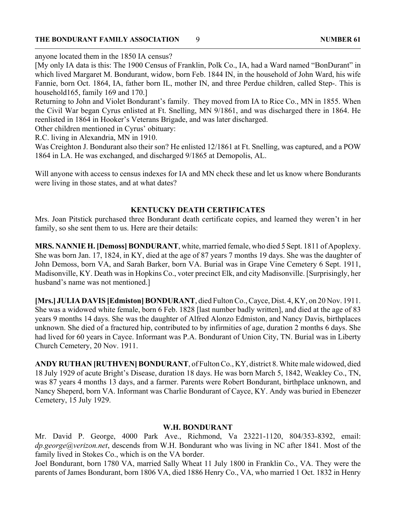#### **THE BONDURANT FAMILY ASSOCIATION 9** 9 9 9 NUMBER 61

anyone located them in the 1850 IA census?

[My only IA data is this: The 1900 Census of Franklin, Polk Co., IA, had a Ward named "BonDurant" in which lived Margaret M. Bondurant, widow, born Feb. 1844 IN, in the household of John Ward, his wife Fannie, born Oct. 1864, IA, father born IL, mother IN, and three Perdue children, called Step-. This is household165, family 169 and 170.]

Returning to John and Violet Bondurant's family. They moved from IA to Rice Co., MN in 1855. When the Civil War began Cyrus enlisted at Ft. Snelling, MN 9/1861, and was discharged there in 1864. He reenlisted in 1864 in Hooker's Veterans Brigade, and was later discharged.

Other children mentioned in Cyrus' obituary:

R.C. living in Alexandria, MN in 1910.

Was Creighton J. Bondurant also their son? He enlisted 12/1861 at Ft. Snelling, was captured, and a POW 1864 in LA. He was exchanged, and discharged 9/1865 at Demopolis, AL.

Will anyone with access to census indexes for IA and MN check these and let us know where Bondurants were living in those states, and at what dates?

#### **KENTUCKY DEATH CERTIFICATES**

Mrs. Joan Pitstick purchased three Bondurant death certificate copies, and learned they weren't in her family, so she sent them to us. Here are their details:

**MRS. NANNIE H. [Demoss] BONDURANT**, white, married female, who died 5 Sept. 1811 of Apoplexy. She was born Jan. 17, 1824, in KY, died at the age of 87 years 7 months 19 days. She was the daughter of John Demoss, born VA, and Sarah Barker, born VA. Burial was in Grape Vine Cemetery 6 Sept. 1911, Madisonville, KY. Death was in Hopkins Co., voter precinct Elk, and city Madisonville. [Surprisingly, her husband's name was not mentioned.]

**[Mrs.] JULIA DAVIS [Edmiston] BONDURANT**, died Fulton Co., Cayce, Dist. 4, KY, on 20 Nov. 1911. She was a widowed white female, born 6 Feb. 1828 [last number badly written], and died at the age of 83 years 9 months 14 days. She was the daughter of Alfred Alonzo Edmiston, and Nancy Davis, birthplaces unknown. She died of a fractured hip, contributed to by infirmities of age, duration 2 months 6 days. She had lived for 60 years in Cayce. Informant was P.A. Bondurant of Union City, TN. Burial was in Liberty Church Cemetery, 20 Nov. 1911.

**ANDY RUTHAN [RUTHVEN] BONDURANT**, of Fulton Co., KY, district 8. White male widowed, died 18 July 1929 of acute Bright's Disease, duration 18 days. He was born March 5, 1842, Weakley Co., TN, was 87 years 4 months 13 days, and a farmer. Parents were Robert Bondurant, birthplace unknown, and Nancy Sheperd, born VA. Informant was Charlie Bondurant of Cayce, KY. Andy was buried in Ebenezer Cemetery, 15 July 1929.

#### **W.H. BONDURANT**

Mr. David P. George, 4000 Park Ave., Richmond, Va 23221-1120, 804/353-8392, email: *dp.george@verizon.net*, descends from W.H. Bondurant who was living in NC after 1841. Most of the family lived in Stokes Co., which is on the VA border.

Joel Bondurant, born 1780 VA, married Sally Wheat 11 July 1800 in Franklin Co., VA. They were the parents of James Bondurant, born 1806 VA, died 1886 Henry Co., VA, who married 1 Oct. 1832 in Henry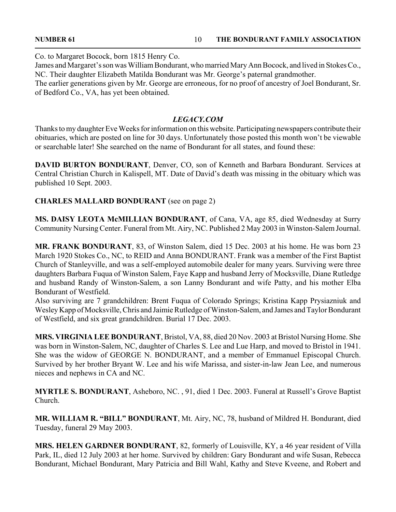Co. to Margaret Bocock, born 1815 Henry Co.

James and Margaret's son was William Bondurant, who married Mary Ann Bocock, and lived in Stokes Co., NC. Their daughter Elizabeth Matilda Bondurant was Mr. George's paternal grandmother.

The earlier generations given by Mr. George are erroneous, for no proof of ancestry of Joel Bondurant, Sr. of Bedford Co., VA, has yet been obtained.

#### *LEGACY.COM*

Thanks to my daughter Eve Weeks for information on this website. Participating newspapers contribute their obituaries, which are posted on line for 30 days. Unfortunately those posted this month won't be viewable or searchable later! She searched on the name of Bondurant for all states, and found these:

**DAVID BURTON BONDURANT**, Denver, CO, son of Kenneth and Barbara Bondurant. Services at Central Christian Church in Kalispell, MT. Date of David's death was missing in the obituary which was published 10 Sept. 2003.

#### **CHARLES MALLARD BONDURANT** (see on page 2)

**MS. DAISY LEOTA McMILLIAN BONDURANT**, of Cana, VA, age 85, died Wednesday at Surry Community Nursing Center. Funeral from Mt. Airy, NC. Published 2 May 2003 in Winston-Salem Journal.

**MR. FRANK BONDURANT**, 83, of Winston Salem, died 15 Dec. 2003 at his home. He was born 23 March 1920 Stokes Co., NC, to REID and Anna BONDURANT. Frank was a member of the First Baptist Church of Stanleyville, and was a self-employed automobile dealer for many years. Surviving were three daughters Barbara Fuqua of Winston Salem, Faye Kapp and husband Jerry of Mocksville, Diane Rutledge and husband Randy of Winston-Salem, a son Lanny Bondurant and wife Patty, and his mother Elba Bondurant of Westfield.

Also surviving are 7 grandchildren: Brent Fuqua of Colorado Springs; Kristina Kapp Prysiazniuk and Wesley Kapp of Mocksville, Chris and Jaimie Rutledge of Winston-Salem, and James and Taylor Bondurant of Westfield, and six great grandchildren. Burial 17 Dec. 2003.

**MRS. VIRGINIA LEE BONDURANT**, Bristol, VA, 88, died 20 Nov. 2003 at Bristol Nursing Home. She was born in Winston-Salem, NC, daughter of Charles S. Lee and Lue Harp, and moved to Bristol in 1941. She was the widow of GEORGE N. BONDURANT, and a member of Emmanuel Episcopal Church. Survived by her brother Bryant W. Lee and his wife Marissa, and sister-in-law Jean Lee, and numerous nieces and nephews in CA and NC.

**MYRTLE S. BONDURANT**, Asheboro, NC. , 91, died 1 Dec. 2003. Funeral at Russell's Grove Baptist Church.

**MR. WILLIAM R. "BILL" BONDURANT**, Mt. Airy, NC, 78, husband of Mildred H. Bondurant, died Tuesday, funeral 29 May 2003.

**MRS. HELEN GARDNER BONDURANT**, 82, formerly of Louisville, KY, a 46 year resident of Villa Park, IL, died 12 July 2003 at her home. Survived by children: Gary Bondurant and wife Susan, Rebecca Bondurant, Michael Bondurant, Mary Patricia and Bill Wahl, Kathy and Steve Kveene, and Robert and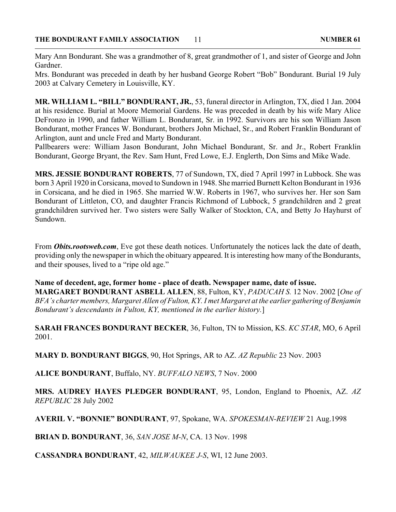Mary Ann Bondurant. She was a grandmother of 8, great grandmother of 1, and sister of George and John Gardner.

Mrs. Bondurant was preceded in death by her husband George Robert "Bob" Bondurant. Burial 19 July 2003 at Calvary Cemetery in Louisville, KY.

**MR. WILLIAM L. "BILL" BONDURANT, JR.**, 53, funeral director in Arlington, TX, died 1 Jan. 2004 at his residence. Burial at Moore Memorial Gardens. He was preceded in death by his wife Mary Alice DeFronzo in 1990, and father William L. Bondurant, Sr. in 1992. Survivors are his son William Jason Bondurant, mother Frances W. Bondurant, brothers John Michael, Sr., and Robert Franklin Bondurant of Arlington, aunt and uncle Fred and Marty Bondurant.

Pallbearers were: William Jason Bondurant, John Michael Bondurant, Sr. and Jr., Robert Franklin Bondurant, George Bryant, the Rev. Sam Hunt, Fred Lowe, E.J. Englerth, Don Sims and Mike Wade.

**MRS. JESSIE BONDURANT ROBERTS**, 77 of Sundown, TX, died 7 April 1997 in Lubbock. She was born 3 April 1920 in Corsicana, moved to Sundown in 1948. She married Burnett Kelton Bondurant in 1936 in Corsicana, and he died in 1965. She married W.W. Roberts in 1967, who survives her. Her son Sam Bondurant of Littleton, CO, and daughter Francis Richmond of Lubbock, 5 grandchildren and 2 great grandchildren survived her. Two sisters were Sally Walker of Stockton, CA, and Betty Jo Hayhurst of Sundown.

From *Obits.rootsweb.com*, Eve got these death notices. Unfortunately the notices lack the date of death, providing only the newspaper in which the obituary appeared. It is interesting how many of the Bondurants, and their spouses, lived to a "ripe old age."

**Name of decedent, age, former home - place of death. Newspaper name, date of issue. MARGARET BONDURANT ASBELL ALLEN**, 88, Fulton, KY, *PADUCAH S.* 12 Nov. 2002 [*One of BFA's charter members, Margaret Allen of Fulton, KY. I met Margaret at the earlier gathering of Benjamin Bondurant's descendants in Fulton, KY, mentioned in the earlier history.*]

**SARAH FRANCES BONDURANT BECKER**, 36, Fulton, TN to Mission, KS. *KC STAR*, MO, 6 April 2001.

**MARY D. BONDURANT BIGGS**, 90, Hot Springs, AR to AZ. *AZ Republic* 23 Nov. 2003

**ALICE BONDURANT**, Buffalo, NY. *BUFFALO NEWS*, 7 Nov. 2000

**MRS. AUDREY HAYES PLEDGER BONDURANT**, 95, London, England to Phoenix, AZ. *AZ REPUBLIC* 28 July 2002

**AVERIL V. "BONNIE" BONDURANT**, 97, Spokane, WA. *SPOKESMAN-REVIEW* 21 Aug.1998

**BRIAN D. BONDURANT**, 36, *SAN JOSE M-N*, CA. 13 Nov. 1998

**CASSANDRA BONDURANT**, 42, *MILWAUKEE J-S*, WI, 12 June 2003.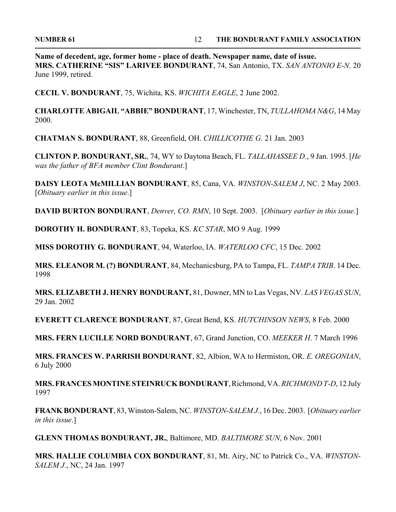**Name of decedent, age, former home - place of death. Newspaper name, date of issue. MRS. CATHERINE "SIS" LARIVEE BONDURANT**, 74, San Antonio, TX. *SAN ANTONIO E-N*. 20 June 1999, retired.

**CECIL V. BONDURANT**, 75, Wichita, KS. *WICHITA EAGLE*, 2 June 2002.

**CHARLOTTE ABIGAIL "ABBIE" BONDURANT**, 17, Winchester, TN, *TULLAHOMA N&G*, 14 May 2000.

**CHATMAN S. BONDURANT**, 88, Greenfield, OH. *CHILLICOTHE G.* 21 Jan. 2003

**CLINTON P. BONDURANT, SR.**, 74, WY to Daytona Beach, FL. *TALLAHASSEE D.*, 9 Jan. 1995. [*He was the father of BFA member Clint Bondurant*.]

**DAISY LEOTA McMILLIAN BONDURANT**, 85, Cana, VA. *WINSTON-SALEM J*, NC. 2 May 2003. [*Obituary earlier in this issue*.]

**DAVID BURTON BONDURANT**, *Denver, CO. RMN*, 10 Sept. 2003. [*Obituary earlier in this issue*.]

**DOROTHY H. BONDURANT**, 83, Topeka, KS. *KC STAR*, MO 9 Aug. 1999

**MISS DOROTHY G. BONDURANT**, 94, Waterloo, IA. *WATERLOO CFC*, 15 Dec. 2002

**MRS. ELEANOR M. (?) BONDURANT**, 84, Mechanicsburg, PA to Tampa, FL. *TAMPA TRIB*. 14 Dec. 1998

**MRS. ELIZABETH J. HENRY BONDURANT,** 81, Downer, MN to Las Vegas, NV. *LAS VEGAS SUN*, 29 Jan. 2002

**EVERETT CLARENCE BONDURANT**, 87, Great Bend, KS. *HUTCHINSON NEWS*, 8 Feb. 2000

**MRS. FERN LUCILLE NORD BONDURANT**, 67, Grand Junction, CO. *MEEKER H*. 7 March 1996

**MRS. FRANCES W. PARRISH BONDURANT**, 82, Albion, WA to Hermiston, OR. *E. OREGONIAN*, 6 July 2000

**MRS. FRANCES MONTINE STEINRUCK BONDURANT**, Richmond, VA. *RICHMOND T-D*, 12 July 1997

**FRANK BONDURANT**, 83, Winston-Salem, NC. *WINSTON-SALEM J.*, 16 Dec. 2003. [*Obituary earlier in this issue*.]

**GLENN THOMAS BONDURANT, JR.**, Baltimore, MD. *BALTIMORE SUN*, 6 Nov. 2001

**MRS. HALLIE COLUMBIA COX BONDURANT**, 81, Mt. Airy, NC to Patrick Co., VA. *WINSTON-SALEM J.*, NC, 24 Jan. 1997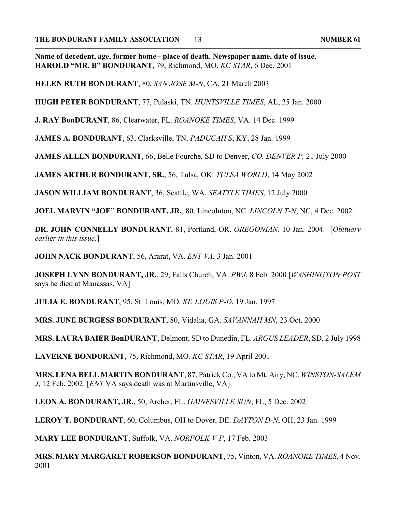**Name of decedent, age, former home - place of death. Newspaper name, date of issue. HAROLD "MR. B" BONDURANT**, 79, Richmond, MO. *KC STAR*, 6 Dec. 2001

**HELEN RUTH BONDURANT**, 80, *SAN JOSE M-N*, CA, 21 March 2003

**HUGH PETER BONDURANT**, 77, Pulaski, TN. *HUNTSVILLE TIMES*, AL, 25 Jan. 2000

**J. RAY BonDURANT**, 86, Clearwater, FL. *ROANOKE TIMES*, VA. 14 Dec. 1999

**JAMES A. BONDURANT**, 63, Clarksville, TN. *PADUCAH S*, KY, 28 Jan. 1999

**JAMES ALLEN BONDURANT**, 66, Belle Fourche, SD to Denver, *CO. DENVER P,* 21 July 2000

**JAMES ARTHUR BONDURANT, SR.**, 56, Tulsa, OK. *TULSA WORLD*, 14 May 2002

**JASON WILLIAM BONDURANT**, 36, Seattle, WA. *SEATTLE TIMES*, 12 July 2000

**JOEL MARVIN "JOE" BONDURANT, JR.**, 80, Lincolnton, NC. *LINCOLN T-N*, NC, 4 Dec. 2002.

**DR. JOHN CONNELLY BONDURANT**, 81, Portland, OR. *OREGONIAN,* 10 Jan. 2004. [*Obituary earlier in this issue*.]

**JOHN NACK BONDURANT**, 56, Ararat, VA. *ENT VA*, 3 Jan. 2001

**JOSEPH LYNN BONDURANT, JR.**, 29, Falls Church, VA. *PWJ*, 8 Feb. 2000 [*WASHINGTON POST* says he died at Manassas, VA]

**JULIA E. BONDURANT**, 95, St. Louis, MO. *ST. LOUIS P-D*, 19 Jan. 1997

**MRS. JUNE BURGESS BONDURANT**, 80, Vidalia, GA. *SAVANNAH MN*, 23 Oct. 2000

**MRS. LAURA BAIER BonDURANT**, Delmont, SD to Dunedin, FL. *ARGUS LEADER*, SD, 2 July 1998

**LAVERNE BONDURANT**, 75, Richmond, MO. *KC STAR*, 19 April 2001

**MRS. LENA BELL MARTIN BONDURANT**, 87, Patrick Co., VA to Mt. Airy, NC. *WINSTON-SALEM J*, 12 Feb. 2002. [*ENT* VA says death was at Martinsville, VA]

**LEON A. BONDURANT, JR.**, 50, Archer, FL. *GAINESVILLE SUN*, FL, 5 Dec. 2002

**LEROY T. BONDURANT**, 60, Columbus, OH to Dover, DE. *DAYTON D-N*, OH, 23 Jan. 1999

**MARY LEE BONDURANT**, Suffolk, VA. *NORFOLK V-P*, 17 Feb. 2003

**MRS. MARY MARGARET ROBERSON BONDURANT**, 75, Vinton, VA. *ROANOKE TIMES*, 4 Nov. 2001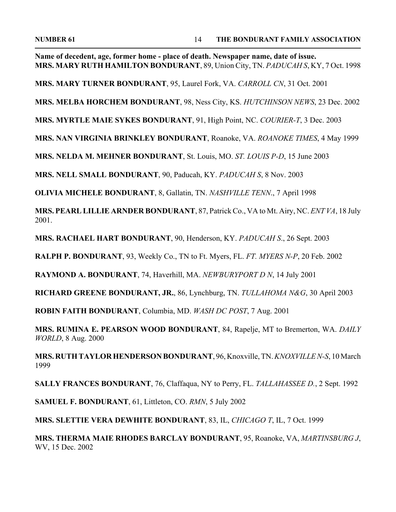**Name of decedent, age, former home - place of death. Newspaper name, date of issue. MRS. MARY RUTH HAMILTON BONDURANT**, 89, Union City, TN. *PADUCAH S*, KY, 7 Oct. 1998

**MRS. MARY TURNER BONDURANT**, 95, Laurel Fork, VA. *CARROLL CN*, 31 Oct. 2001

**MRS. MELBA HORCHEM BONDURANT**, 98, Ness City, KS. *HUTCHINSON NEWS*, 23 Dec. 2002

**MRS. MYRTLE MAIE SYKES BONDURANT**, 91, High Point, NC. *COURIER-T*, 3 Dec. 2003

**MRS. NAN VIRGINIA BRINKLEY BONDURANT**, Roanoke, VA. *ROANOKE TIMES*, 4 May 1999

**MRS. NELDA M. MEHNER BONDURANT**, St. Louis, MO. *ST. LOUIS P-D*, 15 June 2003

**MRS. NELL SMALL BONDURANT**, 90, Paducah, KY. *PADUCAH S*, 8 Nov. 2003

**OLIVIA MICHELE BONDURANT**, 8, Gallatin, TN. *NASHVILLE TENN*., 7 April 1998

**MRS. PEARL LILLIE ARNDER BONDURANT**, 87, Patrick Co., VA to Mt. Airy, NC. *ENT VA*, 18 July 2001.

**MRS. RACHAEL HART BONDURANT**, 90, Henderson, KY. *PADUCAH S*., 26 Sept. 2003

**RALPH P. BONDURANT**, 93, Weekly Co., TN to Ft. Myers, FL. *FT. MYERS N-P*, 20 Feb. 2002

**RAYMOND A. BONDURANT**, 74, Haverhill, MA. *NEWBURYPORT D N*, 14 July 2001

**RICHARD GREENE BONDURANT, JR.**, 86, Lynchburg, TN. *TULLAHOMA N&G*, 30 April 2003

**ROBIN FAITH BONDURANT**, Columbia, MD. *WASH DC POST*, 7 Aug. 2001

**MRS. RUMINA E. PEARSON WOOD BONDURANT**, 84, Rapelje, MT to Bremerton, WA. *DAILY WORLD*, 8 Aug. 2000

**MRS. RUTH TAYLOR HENDERSON BONDURANT**, 96, Knoxville, TN. *KNOXVILLE N-S*, 10 March 1999

**SALLY FRANCES BONDURANT**, 76, Claffaqua, NY to Perry, FL. *TALLAHASSEE D.*, 2 Sept. 1992

**SAMUEL F. BONDURANT**, 61, Littleton, CO. *RMN*, 5 July 2002

**MRS. SLETTIE VERA DEWHITE BONDURANT**, 83, IL, *CHICAGO T*, IL, 7 Oct. 1999

**MRS. THERMA MAIE RHODES BARCLAY BONDURANT**, 95, Roanoke, VA, *MARTINSBURG J*, WV, 15 Dec. 2002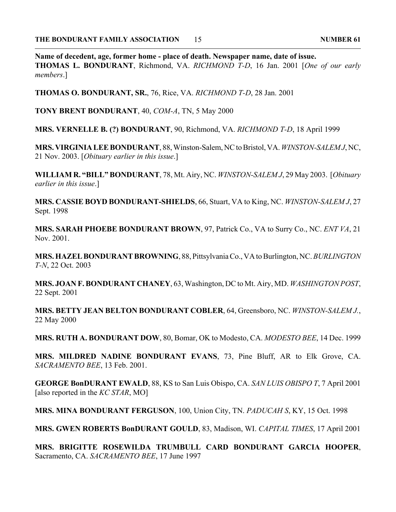**Name of decedent, age, former home - place of death. Newspaper name, date of issue. THOMAS L. BONDURANT**, Richmond, VA. *RICHMOND T-D*, 16 Jan. 2001 [*One of our early members*.]

**THOMAS O. BONDURANT, SR.**, 76, Rice, VA. *RICHMOND T-D*, 28 Jan. 2001

**TONY BRENT BONDURANT**, 40, *COM-A*, TN, 5 May 2000

**MRS. VERNELLE B. (?) BONDURANT**, 90, Richmond, VA. *RICHMOND T-D*, 18 April 1999

**MRS. VIRGINIA LEE BONDURANT**, 88, Winston-Salem, NC to Bristol, VA. *WINSTON-SALEM J*, NC, 21 Nov. 2003. [*Obituary earlier in this issue*.]

**WILLIAM R. "BILL" BONDURANT**, 78, Mt. Airy, NC. *WINSTON-SALEM J*, 29 May 2003. [*Obituary earlier in this issue*.]

**MRS. CASSIE BOYD BONDURANT-SHIELDS**, 66, Stuart, VA to King, NC. *WINSTON-SALEM J*, 27 Sept. 1998

**MRS. SARAH PHOEBE BONDURANT BROWN**, 97, Patrick Co., VA to Surry Co., NC. *ENT VA*, 21 Nov. 2001.

**MRS. HAZEL BONDURANT BROWNING**, 88, Pittsylvania Co., VA to Burlington, NC. *BURLINGTON T-N*, 22 Oct. 2003

**MRS. JOAN F. BONDURANT CHANEY**, 63, Washington, DC to Mt. Airy, MD. *WASHINGTON POST*, 22 Sept. 2001

**MRS. BETTY JEAN BELTON BONDURANT COBLER**, 64, Greensboro, NC. *WINSTON-SALEM J.*, 22 May 2000

**MRS. RUTH A. BONDURANT DOW**, 80, Bomar, OK to Modesto, CA. *MODESTO BEE*, 14 Dec. 1999

**MRS. MILDRED NADINE BONDURANT EVANS**, 73, Pine Bluff, AR to Elk Grove, CA. *SACRAMENTO BEE*, 13 Feb. 2001.

**GEORGE BonDURANT EWALD**, 88, KS to San Luis Obispo, CA. *SAN LUIS OBISPO T*, 7 April 2001 [also reported in the *KC STAR*, MO]

**MRS. MINA BONDURANT FERGUSON**, 100, Union City, TN. *PADUCAH S*, KY, 15 Oct. 1998

**MRS. GWEN ROBERTS BonDURANT GOULD**, 83, Madison, WI. *CAPITAL TIMES*, 17 April 2001

**MRS. BRIGITTE ROSEWILDA TRUMBULL CARD BONDURANT GARCIA HOOPER**, Sacramento, CA. *SACRAMENTO BEE*, 17 June 1997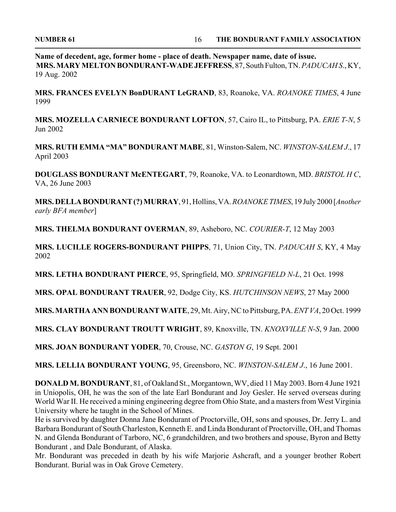**Name of decedent, age, former home - place of death. Newspaper name, date of issue. MRS. MARY MELTON BONDURANT-WADE JEFFRESS**, 87, South Fulton, TN. *PADUCAH S*., KY, 19 Aug. 2002

**MRS. FRANCES EVELYN BonDURANT LeGRAND**, 83, Roanoke, VA. *ROANOKE TIMES*, 4 June 1999

**MRS. MOZELLA CARNIECE BONDURANT LOFTON**, 57, Cairo IL, to Pittsburg, PA. *ERIE T-N*, 5 Jun 2002

**MRS. RUTH EMMA "MA" BONDURANT MABE**, 81, Winston-Salem, NC. *WINSTON-SALEM J*., 17 April 2003

**DOUGLASS BONDURANT McENTEGART**, 79, Roanoke, VA. to Leonardtown, MD. *BRISTOL H C*, VA, 26 June 2003

**MRS. DELLA BONDURANT (?) MURRAY**, 91, Hollins, VA. *ROANOKE TIMES*, 19 July 2000 [*Another early BFA member*]

**MRS. THELMA BONDURANT OVERMAN**, 89, Asheboro, NC. *COURIER-T*, 12 May 2003

**MRS. LUCILLE ROGERS-BONDURANT PHIPPS**, 71, Union City, TN. *PADUCAH S*, KY, 4 May 2002

**MRS. LETHA BONDURANT PIERCE**, 95, Springfield, MO. *SPRINGFIELD N-L*, 21 Oct. 1998

**MRS. OPAL BONDURANT TRAUER**, 92, Dodge City, KS. *HUTCHINSON NEWS*, 27 May 2000

**MRS. MARTHA ANN BONDURANT WAITE**, 29, Mt. Airy, NC to Pittsburg, PA. *ENT VA*, 20 Oct. 1999

**MRS. CLAY BONDURANT TROUTT WRIGHT**, 89, Knoxville, TN. *KNOXVILLE N-S*, 9 Jan. 2000

**MRS. JOAN BONDURANT YODER**, 70, Crouse, NC. *GASTON G*, 19 Sept. 2001

**MRS. LELLIA BONDURANT YOUNG**, 95, Greensboro, NC. *WINSTON-SALEM J*., 16 June 2001.

**DONALD M. BONDURANT**, 81, of Oakland St., Morgantown, WV, died 11 May 2003. Born 4 June 1921 in Uniopolis, OH, he was the son of the late Earl Bondurant and Joy Gesler. He served overseas during World War II. He received a mining engineering degree from Ohio State, and a masters from West Virginia University where he taught in the School of Mines.

He is survived by daughter Donna Jane Bondurant of Proctorville, OH, sons and spouses, Dr. Jerry L. and Barbara Bondurant of South Charleston, Kenneth E. and Linda Bondurant of Proctorville, OH, and Thomas N. and Glenda Bondurant of Tarboro, NC, 6 grandchildren, and two brothers and spouse, Byron and Betty Bondurant , and Dale Bondurant, of Alaska.

Mr. Bondurant was preceded in death by his wife Marjorie Ashcraft, and a younger brother Robert Bondurant. Burial was in Oak Grove Cemetery.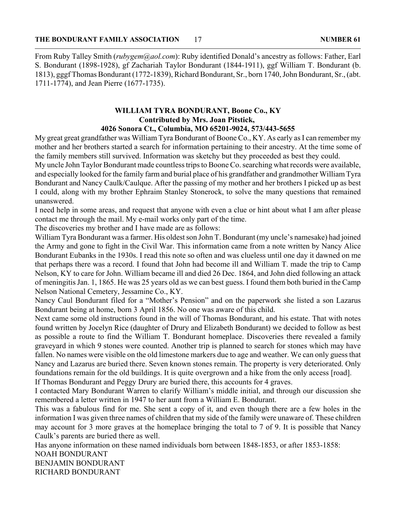From Ruby Talley Smith (*rubygem@aol.com*): Ruby identified Donald's ancestry as follows: Father, Earl S. Bondurant (1898-1928), gf Zachariah Taylor Bondurant (1844-1911), ggf William T. Bondurant (b. 1813), gggf Thomas Bondurant (1772-1839), Richard Bondurant, Sr., born 1740, John Bondurant, Sr., (abt. 1711-1774), and Jean Pierre (1677-1735).

#### **WILLIAM TYRA BONDURANT, Boone Co., KY Contributed by Mrs. Joan Pitstick, 4026 Sonora Ct., Columbia, MO 65201-9024, 573/443-5655**

My great great grandfather was William Tyra Bondurant of Boone Co., KY. As early as I can remember my mother and her brothers started a search for information pertaining to their ancestry. At the time some of the family members still survived. Information was sketchy but they proceeded as best they could.

My uncle John Taylor Bondurant made countless trips to Boone Co. searching what records were available, and especially looked for the family farm and burial place of his grandfather and grandmother William Tyra Bondurant and Nancy Caulk/Caulque. After the passing of my mother and her brothers I picked up as best I could, along with my brother Ephraim Stanley Stonerock, to solve the many questions that remained unanswered.

I need help in some areas, and request that anyone with even a clue or hint about what I am after please contact me through the mail. My e-mail works only part of the time.

The discoveries my brother and I have made are as follows:

William Tyra Bondurant was a farmer. His oldest son John T. Bondurant (my uncle's namesake) had joined the Army and gone to fight in the Civil War. This information came from a note written by Nancy Alice Bondurant Eubanks in the 1930s. I read this note so often and was clueless until one day it dawned on me that perhaps there was a record. I found that John had become ill and William T. made the trip to Camp Nelson, KY to care for John. William became ill and died 26 Dec. 1864, and John died following an attack of meningitis Jan. 1, 1865. He was 25 years old as we can best guess. I found them both buried in the Camp Nelson National Cemetery, Jessamine Co., KY.

Nancy Caul Bondurant filed for a "Mother's Pension" and on the paperwork she listed a son Lazarus Bondurant being at home, born 3 April 1856. No one was aware of this child.

Next came some old instructions found in the will of Thomas Bondurant, and his estate. That with notes found written by Jocelyn Rice (daughter of Drury and Elizabeth Bondurant) we decided to follow as best as possible a route to find the William T. Bondurant homeplace. Discoveries there revealed a family graveyard in which 9 stones were counted. Another trip is planned to search for stones which may have fallen. No names were visible on the old limestone markers due to age and weather. We can only guess that Nancy and Lazarus are buried there. Seven known stones remain. The property is very deteriorated. Only foundations remain for the old buildings. It is quite overgrown and a hike from the only access [road].

If Thomas Bondurant and Peggy Drury are buried there, this accounts for 4 graves.

I contacted Mary Bondurant Warren to clarify William's middle initial, and through our discussion she remembered a letter written in 1947 to her aunt from a William E. Bondurant.

This was a fabulous find for me. She sent a copy of it, and even though there are a few holes in the information I was given three names of children that my side of the family were unaware of. These children may account for 3 more graves at the homeplace bringing the total to 7 of 9. It is possible that Nancy Caulk's parents are buried there as well.

Has anyone information on these named individuals born between 1848-1853, or after 1853-1858: NOAH BONDURANT BENJAMIN BONDURANT

RICHARD BONDURANT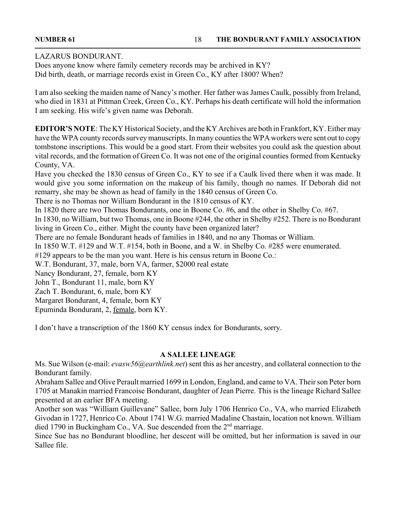#### LAZARUS BONDURANT.

Does anyone know where family cemetery records may be archived in KY? Did birth, death, or marriage records exist in Green Co., KY after 1800? When?

I am also seeking the maiden name of Nancy's mother. Her father was James Caulk, possibly from Ireland, who died in 1831 at Pittman Creek, Green Co., KY. Perhaps his death certificate will hold the information I am seeking. His wife's given name was Deborah.

**EDITOR'S NOTE**: The KY Historical Society, and the KY Archives are both in Frankfort, KY. Either may have the WPA county records survey manuscripts. In many counties the WPA workers were sent out to copy tombstone inscriptions. This would be a good start. From their websites you could ask the question about vital records, and the formation of Green Co. It was not one of the original counties formed from Kentucky County, VA.

Have you checked the 1830 census of Green Co., KY to see if a Caulk lived there when it was made. It would give you some information on the makeup of his family, though no names. If Deborah did not remarry, she may be shown as head of family in the 1840 census of Green Co.

There is no Thomas nor William Bondurant in the 1810 census of KY.

In 1820 there are two Thomas Bondurants, one in Boone Co. #6, and the other in Shelby Co. #67.

In 1830, no William, but two Thomas, one in Boone #244, the other in Shelby #252. There is no Bondurant living in Green Co., either. Might the county have been organized later?

There are no female Bondurant heads of families in 1840, and no any Thomas or William.

In 1850 W.T. #129 and W.T. #154, both in Boone, and a W. in Shelby Co. #285 were enumerated.

#129 appears to be the man you want. Here is his census return in Boone Co.:

W.T. Bondurant, 37, male, born VA, farmer, \$2000 real estate

Nancy Bondurant, 27, female, born KY

John T., Bondurant 11, male, born KY

Zach T. Bondurant, 6, male, born KY

Margaret Bondurant, 4, female, born KY

Epuminda Bondurant, 2, female, born KY.

I don't have a transcription of the 1860 KY census index for Bondurants, sorry.

#### **A SALLEE LINEAGE**

Ms. Sue Wilson (e-mail: *evasw56@earthlink.net*) sent this as her ancestry, and collateral connection to the Bondurant family.

Abraham Sallee and Olive Perault married 1699 in London, England, and came to VA. Their son Peter born 1705 at Manakin married Francoise Bondurant, daughter of Jean Pierre. This is the lineage Richard Sallee presented at an earlier BFA meeting.

Another son was "William Guillevane" Sallee, born July 1706 Henrico Co., VA, who married Elizabeth Givodan in 1727, Henrico Co. About 1741 W.G. married Madaline Chastain, location not known. William died 1790 in Buckingham Co., VA. Sue descended from the 2<sup>nd</sup> marriage.

Since Sue has no Bondurant bloodline, her descent will be omitted, but her information is saved in our Sallee file.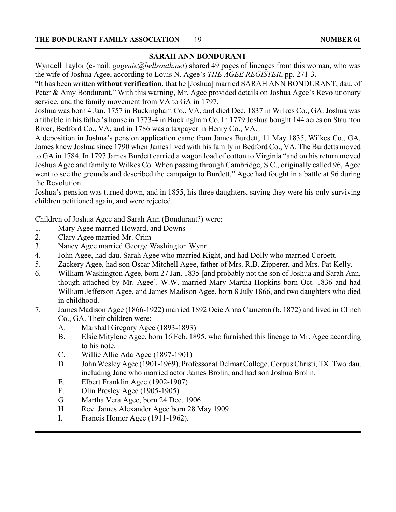#### **SARAH ANN BONDURANT**

Wyndell Taylor (e-mail: *gagenie@bellsouth.net*) shared 49 pages of lineages from this woman, who was the wife of Joshua Agee, according to Louis N. Agee's *THE AGEE REGISTER*, pp. 271-3.

"It has been written **without verification**, that he [Joshua] married SARAH ANN BONDURANT, dau. of Peter & Amy Bondurant." With this warning, Mr. Agee provided details on Joshua Agee's Revolutionary service, and the family movement from VA to GA in 1797.

Joshua was born 4 Jan. 1757 in Buckingham Co., VA, and died Dec. 1837 in Wilkes Co., GA. Joshua was a tithable in his father's house in 1773-4 in Buckingham Co. In 1779 Joshua bought 144 acres on Staunton River, Bedford Co., VA, and in 1786 was a taxpayer in Henry Co., VA.

A deposition in Joshua's pension application came from James Burdett, 11 May 1835, Wilkes Co., GA. James knew Joshua since 1790 when James lived with his family in Bedford Co., VA. The Burdetts moved to GA in 1784. In 1797 James Burdett carried a wagon load of cotton to Virginia "and on his return moved Joshua Agee and family to Wilkes Co. When passing through Cambridge, S.C., originally called 96, Agee went to see the grounds and described the campaign to Burdett." Agee had fought in a battle at 96 during the Revolution.

Joshua's pension was turned down, and in 1855, his three daughters, saying they were his only surviving children petitioned again, and were rejected.

Children of Joshua Agee and Sarah Ann (Bondurant?) were:

- 1. Mary Agee married Howard, and Downs
- 2. Clary Agee married Mr. Crim
- 3. Nancy Agee married George Washington Wynn
- 4. John Agee, had dau. Sarah Agee who married Kight, and had Dolly who married Corbett.
- 5. Zackery Agee, had son Oscar Mitchell Agee, father of Mrs. R.B. Zipperer, and Mrs. Pat Kelly.
- 6. William Washington Agee, born 27 Jan. 1835 [and probably not the son of Joshua and Sarah Ann, though attached by Mr. Agee]. W.W. married Mary Martha Hopkins born Oct. 1836 and had William Jefferson Agee, and James Madison Agee, born 8 July 1866, and two daughters who died in childhood.
- 7. James Madison Agee (1866-1922) married 1892 Ocie Anna Cameron (b. 1872) and lived in Clinch Co., GA. Their children were:
	- A. Marshall Gregory Agee (1893-1893)
	- B. Elsie Mitylene Agee, born 16 Feb. 1895, who furnished this lineage to Mr. Agee according to his note.
	- C. Willie Allie Ada Agee (1897-1901)
	- D. John Wesley Agee (1901-1969), Professor at Delmar College, Corpus Christi, TX. Two dau. including Jane who married actor James Brolin, and had son Joshua Brolin.
	- E. Elbert Franklin Agee (1902-1907)
	- F. Olin Presley Agee (1905-1905)
	- G. Martha Vera Agee, born 24 Dec. 1906
	- H. Rev. James Alexander Agee born 28 May 1909
	- I. Francis Homer Agee (1911-1962).